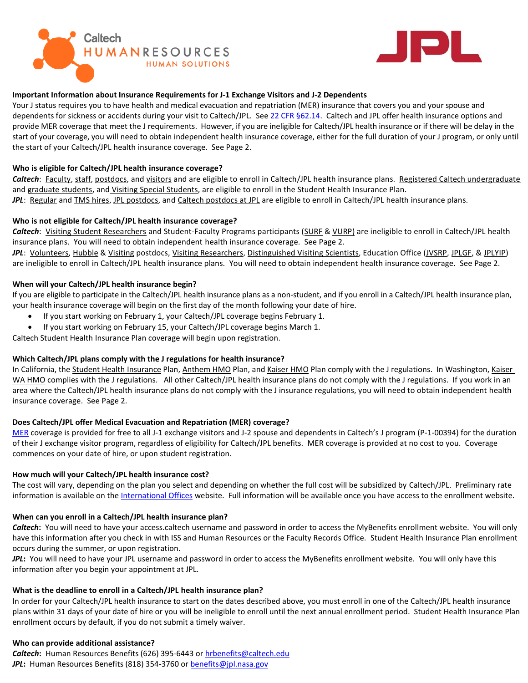



# **Important Information about Insurance Requirements for J-1 Exchange Visitors and J-2 Dependents**

Your J status requires you to have health and medical evacuation and repatriation (MER) insurance that covers you and your spouse and dependents for sickness or accidents during your visit to Caltech/JPL. Se[e 22 CFR §62.14.](https://www.law.cornell.edu/cfr/text/22/62.14) Caltech and JPL offer health insurance options and provide MER coverage that meet the J requirements. However, if you are ineligible for Caltech/JPL health insurance or if there will be delay in the start of your coverage, you will need to obtain independent health insurance coverage, either for the full duration of your J program, or only until the start of your Caltech/JPL health insurance coverage. See Page 2.

## **Who is eligible for Caltech/JPL health insurance coverage?**

Caltech: Faculty, staff, postdocs, and visitors and are eligible to enroll in Caltech/JPL health insurance plans. Registered Caltech undergraduate and graduate students, and Visiting Special Students, are eligible to enroll in the Student Health Insurance Plan. *JPL*: Regular and TMS hires, JPL postdocs, and Caltech postdocs at JPL are eligible to enroll in Caltech/JPL health insurance plans.

### **Who is not eligible for Caltech/JPL health insurance coverage?**

*Caltech*: Visiting Student Researchers and Student-Faculty Programs participants (SURF & VURP) are ineligible to enroll in Caltech/JPL health insurance plans. You will need to obtain independent health insurance coverage. See Page 2.

*JPL*: Volunteers, Hubble & Visiting postdocs, Visiting Researchers, Distinguished Visiting Scientists, Education Office (JVSRP, JPLGF, & JPLYIP) are ineligible to enroll in Caltech/JPL health insurance plans. You will need to obtain independent health insurance coverage. See Page 2.

### **When will your Caltech/JPL health insurance begin?**

If you are eligible to participate in the Caltech/JPL health insurance plans as a non-student, and if you enroll in a Caltech/JPL health insurance plan, your health insurance coverage will begin on the first day of the month following your date of hire.

- If you start working on February 1, your Caltech/JPL coverage begins February 1.
- If you start working on February 15, your Caltech/JPL coverage begins March 1.

Caltech Student Health Insurance Plan coverage will begin upon registration.

## **Which Caltech/JPL plans comply with the J regulations for health insurance?**

In California, the Student Health Insurance Plan, Anthem HMO Plan, and Kaiser HMO Plan comply with the J regulations. In Washington, Kaiser WA HMO complies with the J regulations. All other Caltech/JPL health insurance plans do not comply with the J regulations. If you work in an area where the Caltech/JPL health insurance plans do not comply with the J insurance regulations, you will need to obtain independent health insurance coverage. See Page 2.

## **Does Caltech/JPL offer Medical Evacuation and Repatriation (MER) coverage?**

[MER](https://international.caltech.edu/documents/151-2019_isos_mer.pdf) coverage is provided for free to all J-1 exchange visitors and J-2 spouse and dependents in Caltech's J program (P-1-00394) for the duration of their J exchange visitor program, regardless of eligibility for Caltech/JPL benefits. MER coverage is provided at no cost to you. Coverage commences on your date of hire, or upon student registration.

## **How much will your Caltech/JPL health insurance cost?**

The cost will vary, depending on the plan you select and depending on whether the full cost will be subsidized by Caltech/JPL. Preliminary rate information is available on the [International Offices](http://international.caltech.edu/Relocation/Before/Insurance) website. Full information will be available once you have access to the enrollment website.

## **When can you enroll in a Caltech/JPL health insurance plan?**

*Caltech***:** You will need to have your access.caltech username and password in order to access the MyBenefits enrollment website. You will only have this information after you check in with ISS and Human Resources or the Faculty Records Office. Student Health Insurance Plan enrollment occurs during the summer, or upon registration.

*JPL***:** You will need to have your JPL username and password in order to access the MyBenefits enrollment website. You will only have this information after you begin your appointment at JPL.

## **What is the deadline to enroll in a Caltech/JPL health insurance plan?**

In order for your Caltech/JPL health insurance to start on the dates described above, you must enroll in one of the Caltech/JPL health insurance plans within 31 days of your date of hire or you will be ineligible to enroll until the next annual enrollment period. Student Health Insurance Plan enrollment occurs by default, if you do not submit a timely waiver.

#### **Who can provide additional assistance?**

*Caltech***:** Human Resources Benefits (626) 395-6443 or [hrbenefits@caltech.edu](mailto:hrbenefits@caltech.edu) JPL: Human Resources Benefits (818) 354-3760 or **benefits@jpl.nasa.gov**